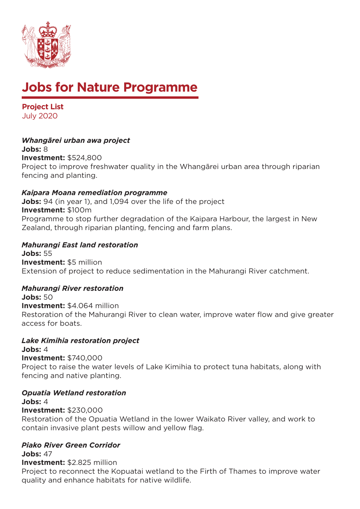

# **Jobs for Nature Programme**

**Project List** July 2020

# *Whangārei urban awa project*

**Jobs:** 8 **Investment:** \$524,800 Project to improve freshwater quality in the Whangārei urban area through riparian fencing and planting.

## *Kaipara Moana remediation programme*

**Jobs:** 94 (in year 1), and 1,094 over the life of the project **Investment:** \$100m Programme to stop further degradation of the Kaipara Harbour, the largest in New Zealand, through riparian planting, fencing and farm plans.

#### *Mahurangi East land restoration* **Jobs:** 55 **Investment:** \$5 million

Extension of project to reduce sedimentation in the Mahurangi River catchment.

## *Mahurangi River restoration*

**Jobs:** 50 **Investment:** \$4.064 million Restoration of the Mahurangi River to clean water, improve water flow and give greater access for boats.

## *Lake Kimihia restoration project*

**Jobs:** 4 **Investment:** \$740,000 Project to raise the water levels of Lake Kimihia to protect tuna habitats, along with fencing and native planting.

## *Opuatia Wetland restoration*

**Jobs:** 4

**Investment:** \$230,000

Restoration of the Opuatia Wetland in the lower Waikato River valley, and work to contain invasive plant pests willow and yellow flag.

## *Piako River Green Corridor*

**Jobs:** 47 **Investment:** \$2.825 million

Project to reconnect the Kopuatai wetland to the Firth of Thames to improve water quality and enhance habitats for native wildlife.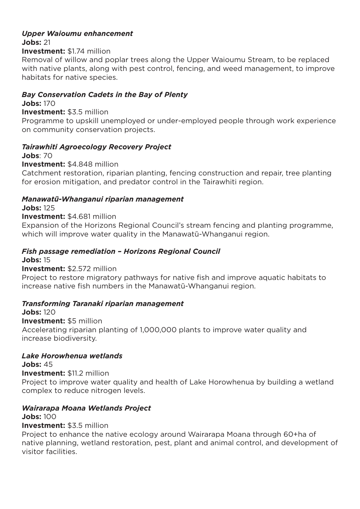## *Upper Waioumu enhancement* **Jobs:** 21

**Investment:** \$1.74 million

Removal of willow and poplar trees along the Upper Waioumu Stream, to be replaced with native plants, along with pest control, fencing, and weed management, to improve habitats for native species.

## *Bay Conservation Cadets in the Bay of Plenty*

**Jobs:** 170

#### **Investment:** \$3.5 million

Programme to upskill unemployed or under-employed people through work experience on community conservation projects.

## *Tairawhiti Agroecology Recovery Project*

**Jobs**: 70

**Investment:** \$4.848 million

Catchment restoration, riparian planting, fencing construction and repair, tree planting for erosion mitigation, and predator control in the Tairawhiti region.

#### *Manawatū-Whanganui riparian management*

**Jobs:** 125

#### **Investment:** \$4.681 million

Expansion of the Horizons Regional Council's stream fencing and planting programme, which will improve water quality in the Manawatū-Whanganui region.

## *Fish passage remediation – Horizons Regional Council*

**Jobs:** 15

#### **Investment:** \$2.572 million

Project to restore migratory pathways for native fish and improve aquatic habitats to increase native fish numbers in the Manawatū-Whanganui region.

## *Transforming Taranaki riparian management*

**Jobs:** 120 **Investment:** \$5 million Accelerating riparian planting of 1,000,000 plants to improve water quality and increase biodiversity.

#### *Lake Horowhenua wetlands*

**Jobs:** 45 **Investment:** \$11.2 million Project to improve water quality and health of Lake Horowhenua by building a wetland complex to reduce nitrogen levels.

## *Wairarapa Moana Wetlands Project*

#### **Jobs:** 100 **Investment:** \$3.5 million

Project to enhance the native ecology around Wairarapa Moana through 60+ha of native planning, wetland restoration, pest, plant and animal control, and development of visitor facilities.